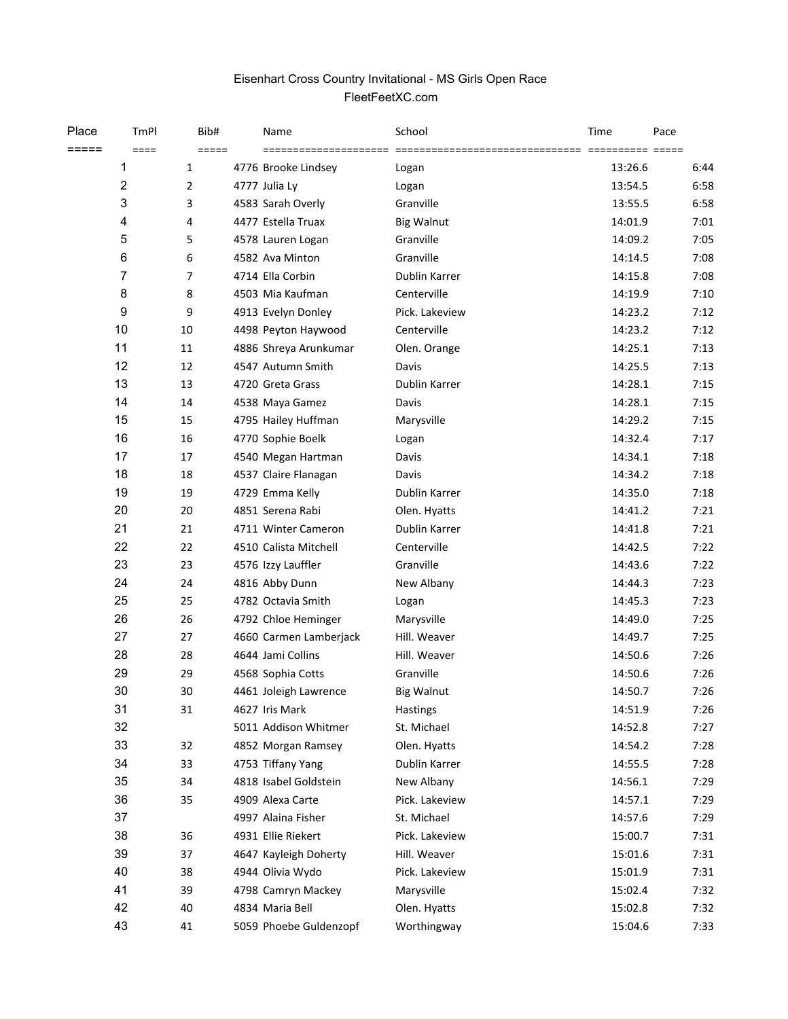## Eisenhart Cross Country Invitational - MS Girls Open Race FleetFeetXC.com

| Place | TmPl           | Bib#                | Name                   | School            | Time    | Pace |      |
|-------|----------------|---------------------|------------------------|-------------------|---------|------|------|
| ===== | $====$         | $=$ $=$ $=$ $=$ $=$ | =====================  |                   |         |      |      |
|       | 1              | $\mathbf{1}$        | 4776 Brooke Lindsey    | Logan             | 13:26.6 |      | 6:44 |
|       | $\overline{c}$ | $\overline{2}$      | 4777 Julia Ly          | Logan             | 13:54.5 |      | 6:58 |
|       | 3              | 3                   | 4583 Sarah Overly      | Granville         | 13:55.5 |      | 6:58 |
|       | 4              | 4                   | 4477 Estella Truax     | <b>Big Walnut</b> | 14:01.9 |      | 7:01 |
|       | 5              | 5                   | 4578 Lauren Logan      | Granville         | 14:09.2 |      | 7:05 |
|       | 6              | 6                   | 4582 Ava Minton        | Granville         | 14:14.5 |      | 7:08 |
|       | $\overline{7}$ | $\overline{7}$      | 4714 Ella Corbin       | Dublin Karrer     | 14:15.8 |      | 7:08 |
|       | 8              | 8                   | 4503 Mia Kaufman       | Centerville       | 14:19.9 |      | 7:10 |
|       | 9              | 9                   | 4913 Evelyn Donley     | Pick. Lakeview    | 14:23.2 |      | 7:12 |
|       | 10             | 10                  | 4498 Peyton Haywood    | Centerville       | 14:23.2 |      | 7:12 |
|       | 11             | 11                  | 4886 Shreya Arunkumar  | Olen. Orange      | 14:25.1 |      | 7:13 |
|       | 12             | 12                  | 4547 Autumn Smith      | Davis             | 14:25.5 |      | 7:13 |
|       | 13             | 13                  | 4720 Greta Grass       | Dublin Karrer     | 14:28.1 |      | 7:15 |
|       | 14             | 14                  | 4538 Maya Gamez        | Davis             | 14:28.1 |      | 7:15 |
|       | 15             | 15                  | 4795 Hailey Huffman    | Marysville        | 14:29.2 |      | 7:15 |
|       | 16             | 16                  | 4770 Sophie Boelk      | Logan             | 14:32.4 |      | 7:17 |
|       | 17             | 17                  | 4540 Megan Hartman     | Davis             | 14:34.1 |      | 7:18 |
|       | 18             | 18                  | 4537 Claire Flanagan   | Davis             | 14:34.2 |      | 7:18 |
|       | 19             | 19                  | 4729 Emma Kelly        | Dublin Karrer     | 14:35.0 |      | 7:18 |
|       | 20             | 20                  | 4851 Serena Rabi       | Olen. Hyatts      | 14:41.2 |      | 7:21 |
|       | 21             | 21                  | 4711 Winter Cameron    | Dublin Karrer     | 14:41.8 |      | 7:21 |
|       | 22             | 22                  | 4510 Calista Mitchell  | Centerville       | 14:42.5 |      | 7:22 |
|       | 23             | 23                  | 4576 Izzy Lauffler     | Granville         | 14:43.6 |      | 7:22 |
|       | 24             | 24                  | 4816 Abby Dunn         | New Albany        | 14:44.3 |      | 7:23 |
|       | 25             | 25                  | 4782 Octavia Smith     | Logan             | 14:45.3 |      | 7:23 |
|       | 26             | 26                  | 4792 Chloe Heminger    | Marysville        | 14:49.0 |      | 7:25 |
|       | 27             | 27                  | 4660 Carmen Lamberjack | Hill. Weaver      | 14:49.7 |      | 7:25 |
|       | 28             | 28                  | 4644 Jami Collins      | Hill. Weaver      | 14:50.6 |      | 7:26 |
|       | 29             | 29                  | 4568 Sophia Cotts      | Granville         | 14:50.6 |      | 7:26 |
|       | 30             | 30                  | 4461 Joleigh Lawrence  | <b>Big Walnut</b> | 14:50.7 |      | 7:26 |
|       | 31             | 31                  | 4627 Iris Mark         | Hastings          | 14:51.9 |      | 7:26 |
|       | 32             |                     | 5011 Addison Whitmer   | St. Michael       | 14:52.8 |      | 7:27 |
|       | 33             | 32                  | 4852 Morgan Ramsey     | Olen. Hyatts      | 14:54.2 |      | 7:28 |
|       | 34             | 33                  | 4753 Tiffany Yang      | Dublin Karrer     | 14:55.5 |      | 7:28 |
|       | 35             | 34                  | 4818 Isabel Goldstein  | New Albany        | 14:56.1 |      | 7:29 |
|       | 36             | 35                  | 4909 Alexa Carte       | Pick. Lakeview    | 14:57.1 |      | 7:29 |
|       | 37             |                     | 4997 Alaina Fisher     | St. Michael       | 14:57.6 |      | 7:29 |
|       | 38             | 36                  | 4931 Ellie Riekert     | Pick. Lakeview    | 15:00.7 |      | 7:31 |
|       | 39             | 37                  | 4647 Kayleigh Doherty  | Hill. Weaver      | 15:01.6 |      | 7:31 |
|       | 40             | 38                  | 4944 Olivia Wydo       | Pick. Lakeview    | 15:01.9 |      | 7:31 |
|       | 41             | 39                  | 4798 Camryn Mackey     | Marysville        | 15:02.4 |      | 7:32 |
|       | 42             | 40                  | 4834 Maria Bell        | Olen. Hyatts      | 15:02.8 |      | 7:32 |
|       | 43             | 41                  | 5059 Phoebe Guldenzopf | Worthingway       | 15:04.6 |      | 7:33 |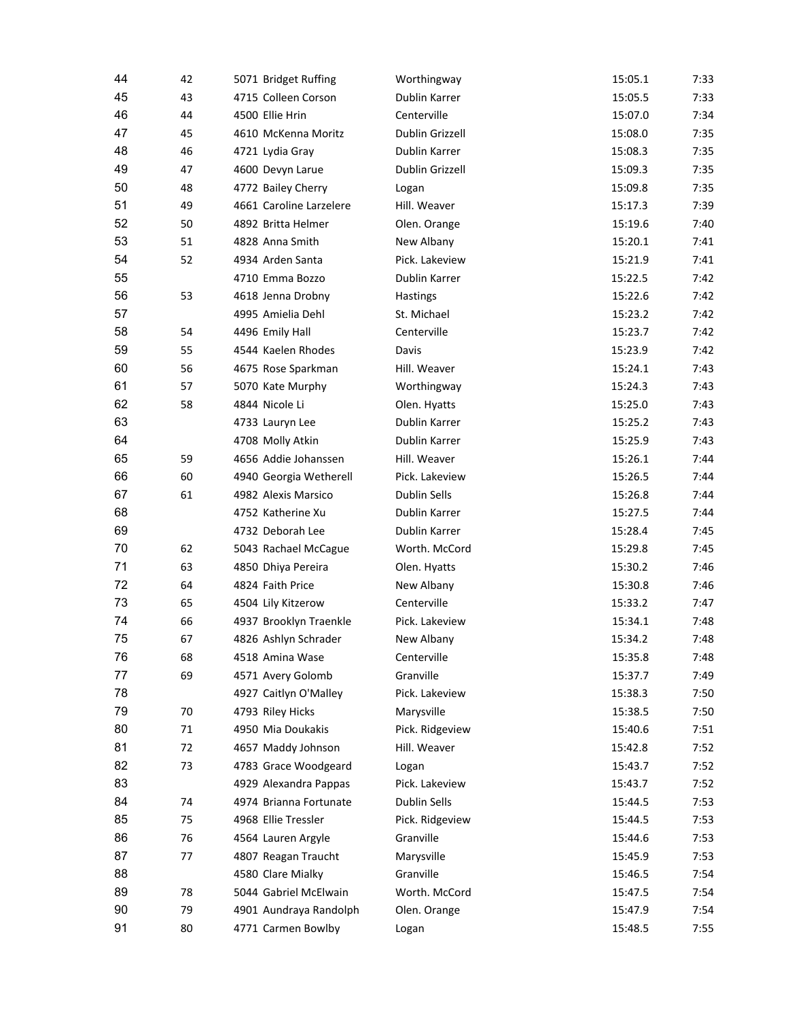| 44 | 42 | 5071 Bridget Ruffing                  | Worthingway         | 15:05.1            | 7:33 |
|----|----|---------------------------------------|---------------------|--------------------|------|
| 45 | 43 | 4715 Colleen Corson                   | Dublin Karrer       | 15:05.5            | 7:33 |
| 46 | 44 | 4500 Ellie Hrin                       | Centerville         | 15:07.0            | 7:34 |
| 47 | 45 | 4610 McKenna Moritz                   | Dublin Grizzell     | 15:08.0            | 7:35 |
| 48 | 46 | 4721 Lydia Gray                       | Dublin Karrer       | 15:08.3            | 7:35 |
| 49 | 47 | 4600 Devyn Larue                      | Dublin Grizzell     | 15:09.3            | 7:35 |
| 50 | 48 | 4772 Bailey Cherry                    | Logan               | 15:09.8            | 7:35 |
| 51 | 49 | 4661 Caroline Larzelere               | Hill. Weaver        | 15:17.3            | 7:39 |
| 52 | 50 | 4892 Britta Helmer                    | Olen. Orange        | 15:19.6            | 7:40 |
| 53 | 51 | 4828 Anna Smith                       | New Albany          | 15:20.1            | 7:41 |
| 54 | 52 | 4934 Arden Santa                      | Pick. Lakeview      | 15:21.9            | 7:41 |
| 55 |    | 4710 Emma Bozzo                       | Dublin Karrer       | 15:22.5            | 7:42 |
| 56 | 53 | 4618 Jenna Drobny                     | Hastings            | 15:22.6            | 7:42 |
| 57 |    | 4995 Amielia Dehl                     | St. Michael         | 15:23.2            | 7:42 |
| 58 | 54 | 4496 Emily Hall                       | Centerville         | 15:23.7            | 7:42 |
| 59 | 55 | 4544 Kaelen Rhodes                    | Davis               | 15:23.9            | 7:42 |
| 60 | 56 | 4675 Rose Sparkman                    | Hill. Weaver        | 15:24.1            | 7:43 |
| 61 | 57 | 5070 Kate Murphy                      | Worthingway         | 15:24.3            | 7:43 |
| 62 | 58 | 4844 Nicole Li                        | Olen. Hyatts        | 15:25.0            | 7:43 |
| 63 |    | 4733 Lauryn Lee                       | Dublin Karrer       | 15:25.2            | 7:43 |
| 64 |    | 4708 Molly Atkin                      | Dublin Karrer       | 15:25.9            | 7:43 |
| 65 | 59 | 4656 Addie Johanssen                  | Hill. Weaver        | 15:26.1            | 7:44 |
| 66 | 60 | 4940 Georgia Wetherell                | Pick. Lakeview      | 15:26.5            | 7:44 |
| 67 | 61 | 4982 Alexis Marsico                   | <b>Dublin Sells</b> | 15:26.8            | 7:44 |
| 68 |    | 4752 Katherine Xu                     | Dublin Karrer       | 15:27.5            | 7:44 |
| 69 |    | 4732 Deborah Lee                      | Dublin Karrer       | 15:28.4            | 7:45 |
| 70 | 62 | 5043 Rachael McCague                  | Worth. McCord       | 15:29.8            | 7:45 |
| 71 | 63 | 4850 Dhiya Pereira                    | Olen. Hyatts        | 15:30.2            | 7:46 |
| 72 | 64 | 4824 Faith Price                      | New Albany          | 15:30.8            | 7:46 |
| 73 | 65 | 4504 Lily Kitzerow                    | Centerville         | 15:33.2            | 7:47 |
| 74 | 66 | 4937 Brooklyn Traenkle                | Pick. Lakeview      | 15:34.1            | 7:48 |
| 75 | 67 | 4826 Ashlyn Schrader                  | New Albany          | 15:34.2            | 7:48 |
| 76 | 68 | 4518 Amina Wase                       | Centerville         | 15:35.8            | 7:48 |
| 77 | 69 | 4571 Avery Golomb                     | Granville           | 15:37.7            | 7:49 |
| 78 |    |                                       | Pick. Lakeview      |                    |      |
| 79 | 70 | 4927 Caitlyn O'Malley                 |                     | 15:38.3<br>15:38.5 | 7:50 |
| 80 | 71 | 4793 Riley Hicks<br>4950 Mia Doukakis | Marysville          |                    | 7:50 |
|    |    |                                       | Pick. Ridgeview     | 15:40.6            | 7:51 |
| 81 | 72 | 4657 Maddy Johnson                    | Hill. Weaver        | 15:42.8            | 7:52 |
| 82 | 73 | 4783 Grace Woodgeard                  | Logan               | 15:43.7            | 7:52 |
| 83 |    | 4929 Alexandra Pappas                 | Pick. Lakeview      | 15:43.7            | 7:52 |
| 84 | 74 | 4974 Brianna Fortunate                | Dublin Sells        | 15:44.5            | 7:53 |
| 85 | 75 | 4968 Ellie Tressler                   | Pick. Ridgeview     | 15:44.5            | 7:53 |
| 86 | 76 | 4564 Lauren Argyle                    | Granville           | 15:44.6            | 7:53 |
| 87 | 77 | 4807 Reagan Traucht                   | Marysville          | 15:45.9            | 7:53 |
| 88 |    | 4580 Clare Mialky                     | Granville           | 15:46.5            | 7:54 |
| 89 | 78 | 5044 Gabriel McElwain                 | Worth. McCord       | 15:47.5            | 7:54 |
| 90 | 79 | 4901 Aundraya Randolph                | Olen. Orange        | 15:47.9            | 7:54 |
| 91 | 80 | 4771 Carmen Bowlby                    | Logan               | 15:48.5            | 7:55 |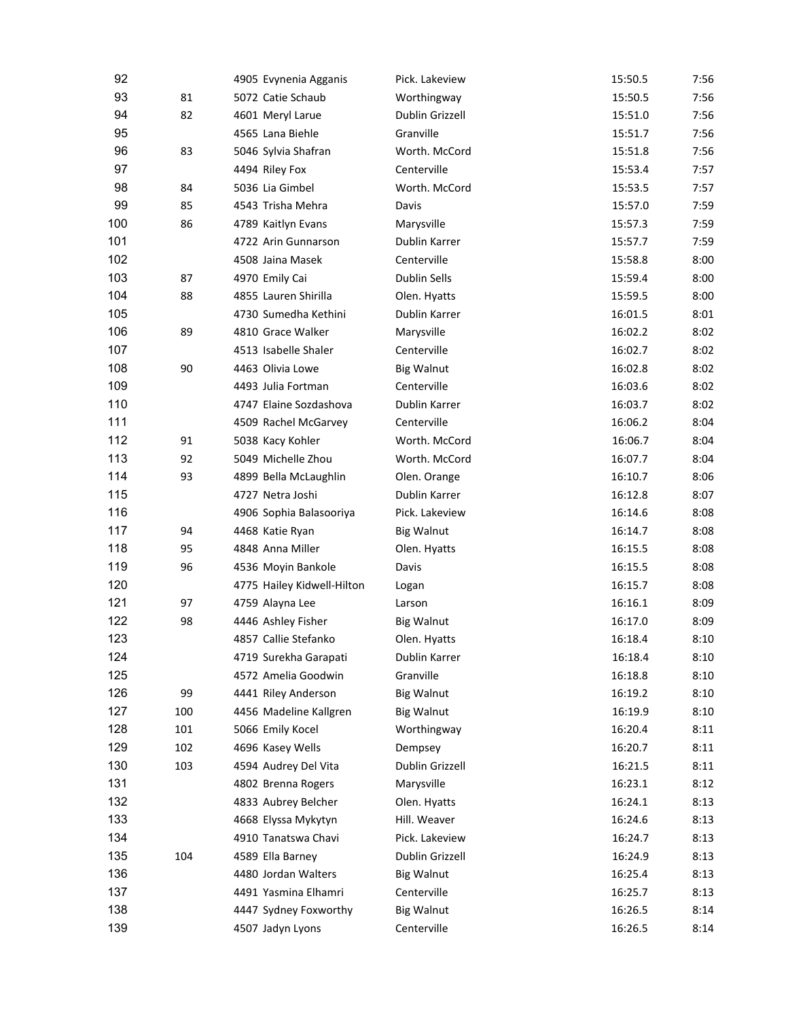| 92  |     | 4905 Evynenia Agganis      | Pick. Lakeview         | 15:50.5 | 7:56 |
|-----|-----|----------------------------|------------------------|---------|------|
| 93  | 81  | 5072 Catie Schaub          | Worthingway            | 15:50.5 | 7:56 |
| 94  | 82  | 4601 Meryl Larue           | <b>Dublin Grizzell</b> | 15:51.0 | 7:56 |
| 95  |     | 4565 Lana Biehle           | Granville              | 15:51.7 | 7:56 |
| 96  | 83  | 5046 Sylvia Shafran        | Worth. McCord          | 15:51.8 | 7:56 |
| 97  |     | 4494 Riley Fox             | Centerville            | 15:53.4 | 7:57 |
| 98  | 84  | 5036 Lia Gimbel            | Worth. McCord          | 15:53.5 | 7:57 |
| 99  | 85  | 4543 Trisha Mehra          | Davis                  | 15:57.0 | 7:59 |
| 100 | 86  | 4789 Kaitlyn Evans         | Marysville             | 15:57.3 | 7:59 |
| 101 |     | 4722 Arin Gunnarson        | Dublin Karrer          | 15:57.7 | 7:59 |
| 102 |     | 4508 Jaina Masek           | Centerville            | 15:58.8 | 8:00 |
| 103 | 87  | 4970 Emily Cai             | <b>Dublin Sells</b>    | 15:59.4 | 8:00 |
| 104 | 88  | 4855 Lauren Shirilla       | Olen. Hyatts           | 15:59.5 | 8:00 |
| 105 |     | 4730 Sumedha Kethini       | Dublin Karrer          | 16:01.5 | 8:01 |
| 106 | 89  | 4810 Grace Walker          | Marysville             | 16:02.2 | 8:02 |
| 107 |     | 4513 Isabelle Shaler       | Centerville            | 16:02.7 | 8:02 |
| 108 | 90  | 4463 Olivia Lowe           |                        |         |      |
|     |     |                            | <b>Big Walnut</b>      | 16:02.8 | 8:02 |
| 109 |     | 4493 Julia Fortman         | Centerville            | 16:03.6 | 8:02 |
| 110 |     | 4747 Elaine Sozdashova     | Dublin Karrer          | 16:03.7 | 8:02 |
| 111 |     | 4509 Rachel McGarvey       | Centerville            | 16:06.2 | 8:04 |
| 112 | 91  | 5038 Kacy Kohler           | Worth. McCord          | 16:06.7 | 8:04 |
| 113 | 92  | 5049 Michelle Zhou         | Worth. McCord          | 16:07.7 | 8:04 |
| 114 | 93  | 4899 Bella McLaughlin      | Olen. Orange           | 16:10.7 | 8:06 |
| 115 |     | 4727 Netra Joshi           | Dublin Karrer          | 16:12.8 | 8:07 |
| 116 |     | 4906 Sophia Balasooriya    | Pick. Lakeview         | 16:14.6 | 8:08 |
| 117 | 94  | 4468 Katie Ryan            | <b>Big Walnut</b>      | 16:14.7 | 8:08 |
| 118 | 95  | 4848 Anna Miller           | Olen. Hyatts           | 16:15.5 | 8:08 |
| 119 | 96  | 4536 Moyin Bankole         | Davis                  | 16:15.5 | 8:08 |
| 120 |     | 4775 Hailey Kidwell-Hilton | Logan                  | 16:15.7 | 8:08 |
| 121 | 97  | 4759 Alayna Lee            | Larson                 | 16:16.1 | 8:09 |
| 122 | 98  | 4446 Ashley Fisher         | <b>Big Walnut</b>      | 16:17.0 | 8:09 |
| 123 |     | 4857 Callie Stefanko       | Olen. Hyatts           | 16:18.4 | 8:10 |
| 124 |     | 4719 Surekha Garapati      | Dublin Karrer          | 16:18.4 | 8:10 |
| 125 |     | 4572 Amelia Goodwin        | Granville              | 16:18.8 | 8:10 |
| 126 | 99  | 4441 Riley Anderson        | <b>Big Walnut</b>      | 16:19.2 | 8:10 |
| 127 | 100 | 4456 Madeline Kallgren     | <b>Big Walnut</b>      | 16:19.9 | 8:10 |
| 128 | 101 | 5066 Emily Kocel           | Worthingway            | 16:20.4 | 8:11 |
| 129 | 102 | 4696 Kasey Wells           | Dempsey                | 16:20.7 | 8:11 |
| 130 | 103 | 4594 Audrey Del Vita       | Dublin Grizzell        | 16:21.5 | 8:11 |
| 131 |     | 4802 Brenna Rogers         | Marysville             | 16:23.1 | 8:12 |
| 132 |     | 4833 Aubrey Belcher        | Olen. Hyatts           | 16:24.1 | 8:13 |
| 133 |     | 4668 Elyssa Mykytyn        | Hill. Weaver           | 16:24.6 | 8:13 |
| 134 |     | 4910 Tanatswa Chavi        | Pick. Lakeview         | 16:24.7 | 8:13 |
| 135 | 104 | 4589 Ella Barney           | Dublin Grizzell        | 16:24.9 | 8:13 |
| 136 |     | 4480 Jordan Walters        | <b>Big Walnut</b>      | 16:25.4 | 8:13 |
| 137 |     | 4491 Yasmina Elhamri       | Centerville            | 16:25.7 | 8:13 |
| 138 |     | 4447 Sydney Foxworthy      | <b>Big Walnut</b>      | 16:26.5 | 8:14 |
| 139 |     | 4507 Jadyn Lyons           | Centerville            | 16:26.5 | 8:14 |
|     |     |                            |                        |         |      |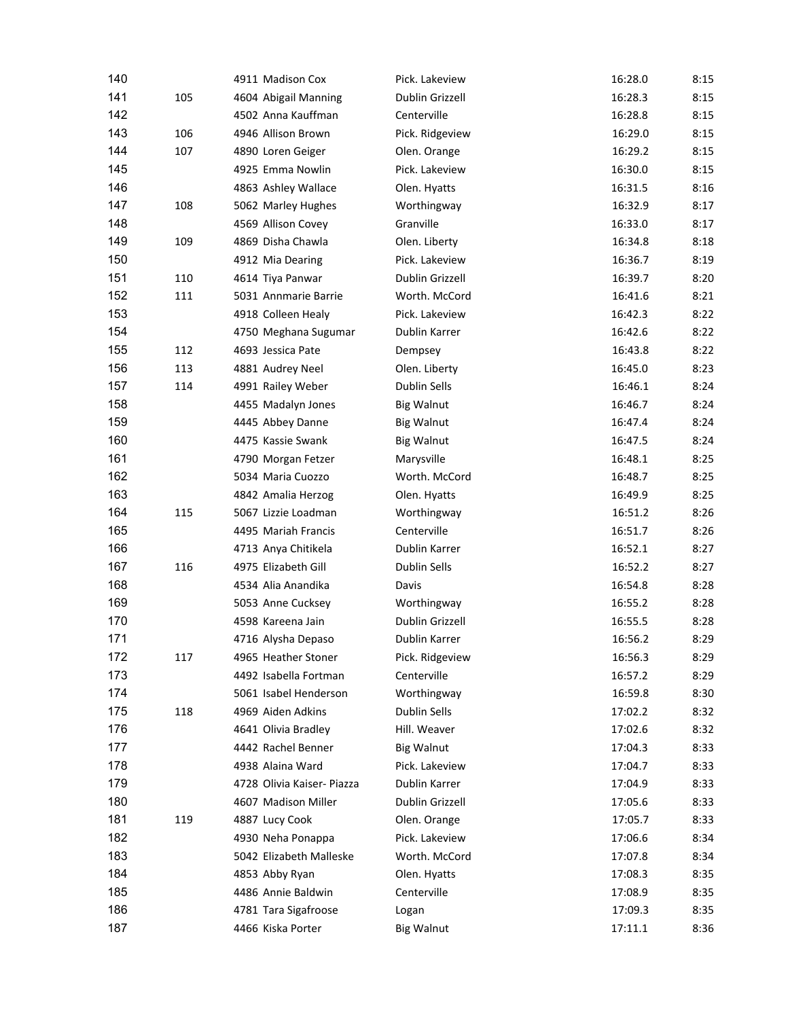| 140 |     | 4911 Madison Cox           | Pick. Lakeview      | 16:28.0 | 8:15 |
|-----|-----|----------------------------|---------------------|---------|------|
| 141 | 105 | 4604 Abigail Manning       | Dublin Grizzell     | 16:28.3 | 8:15 |
| 142 |     | 4502 Anna Kauffman         | Centerville         | 16:28.8 | 8:15 |
| 143 | 106 | 4946 Allison Brown         | Pick. Ridgeview     | 16:29.0 | 8:15 |
| 144 | 107 | 4890 Loren Geiger          | Olen. Orange        | 16:29.2 | 8:15 |
| 145 |     | 4925 Emma Nowlin           | Pick. Lakeview      | 16:30.0 | 8:15 |
| 146 |     | 4863 Ashley Wallace        | Olen. Hyatts        | 16:31.5 | 8:16 |
| 147 | 108 | 5062 Marley Hughes         | Worthingway         | 16:32.9 | 8:17 |
| 148 |     | 4569 Allison Covey         | Granville           | 16:33.0 | 8:17 |
| 149 | 109 | 4869 Disha Chawla          | Olen. Liberty       | 16:34.8 | 8:18 |
| 150 |     | 4912 Mia Dearing           | Pick. Lakeview      | 16:36.7 | 8:19 |
| 151 | 110 | 4614 Tiya Panwar           | Dublin Grizzell     | 16:39.7 | 8:20 |
| 152 | 111 | 5031 Annmarie Barrie       | Worth. McCord       | 16:41.6 | 8:21 |
| 153 |     | 4918 Colleen Healy         | Pick. Lakeview      | 16:42.3 | 8:22 |
| 154 |     | 4750 Meghana Sugumar       | Dublin Karrer       | 16:42.6 | 8:22 |
| 155 | 112 | 4693 Jessica Pate          | Dempsey             | 16:43.8 | 8:22 |
| 156 | 113 | 4881 Audrey Neel           | Olen. Liberty       | 16:45.0 | 8:23 |
| 157 | 114 | 4991 Railey Weber          | <b>Dublin Sells</b> | 16:46.1 | 8:24 |
| 158 |     | 4455 Madalyn Jones         | <b>Big Walnut</b>   | 16:46.7 | 8:24 |
| 159 |     | 4445 Abbey Danne           | <b>Big Walnut</b>   | 16:47.4 | 8:24 |
| 160 |     | 4475 Kassie Swank          | <b>Big Walnut</b>   | 16:47.5 | 8:24 |
| 161 |     | 4790 Morgan Fetzer         | Marysville          | 16:48.1 | 8:25 |
| 162 |     | 5034 Maria Cuozzo          | Worth. McCord       | 16:48.7 | 8:25 |
| 163 |     | 4842 Amalia Herzog         | Olen. Hyatts        | 16:49.9 | 8:25 |
| 164 | 115 | 5067 Lizzie Loadman        | Worthingway         | 16:51.2 | 8:26 |
| 165 |     | 4495 Mariah Francis        | Centerville         | 16:51.7 | 8:26 |
| 166 |     | 4713 Anya Chitikela        | Dublin Karrer       | 16:52.1 | 8:27 |
| 167 | 116 | 4975 Elizabeth Gill        | <b>Dublin Sells</b> | 16:52.2 | 8:27 |
| 168 |     | 4534 Alia Anandika         | Davis               | 16:54.8 | 8:28 |
| 169 |     | 5053 Anne Cucksey          | Worthingway         | 16:55.2 | 8:28 |
| 170 |     | 4598 Kareena Jain          | Dublin Grizzell     | 16:55.5 | 8:28 |
| 171 |     | 4716 Alysha Depaso         | Dublin Karrer       | 16:56.2 | 8:29 |
| 172 | 117 | 4965 Heather Stoner        | Pick. Ridgeview     | 16:56.3 | 8:29 |
| 173 |     | 4492 Isabella Fortman      | Centerville         | 16:57.2 | 8:29 |
| 174 |     | 5061 Isabel Henderson      | Worthingway         | 16:59.8 | 8:30 |
| 175 | 118 | 4969 Aiden Adkins          | <b>Dublin Sells</b> | 17:02.2 | 8:32 |
| 176 |     | 4641 Olivia Bradley        | Hill. Weaver        | 17:02.6 | 8:32 |
| 177 |     | 4442 Rachel Benner         | <b>Big Walnut</b>   | 17:04.3 | 8:33 |
| 178 |     | 4938 Alaina Ward           | Pick. Lakeview      | 17:04.7 | 8:33 |
| 179 |     | 4728 Olivia Kaiser- Piazza | Dublin Karrer       | 17:04.9 | 8:33 |
| 180 |     | 4607 Madison Miller        | Dublin Grizzell     | 17:05.6 | 8:33 |
| 181 | 119 | 4887 Lucy Cook             | Olen. Orange        | 17:05.7 | 8:33 |
| 182 |     | 4930 Neha Ponappa          | Pick. Lakeview      | 17:06.6 | 8:34 |
| 183 |     | 5042 Elizabeth Malleske    | Worth. McCord       | 17:07.8 | 8:34 |
| 184 |     | 4853 Abby Ryan             | Olen. Hyatts        | 17:08.3 | 8:35 |
| 185 |     | 4486 Annie Baldwin         | Centerville         | 17:08.9 | 8:35 |
| 186 |     | 4781 Tara Sigafroose       | Logan               | 17:09.3 | 8:35 |
| 187 |     | 4466 Kiska Porter          | <b>Big Walnut</b>   | 17:11.1 | 8:36 |
|     |     |                            |                     |         |      |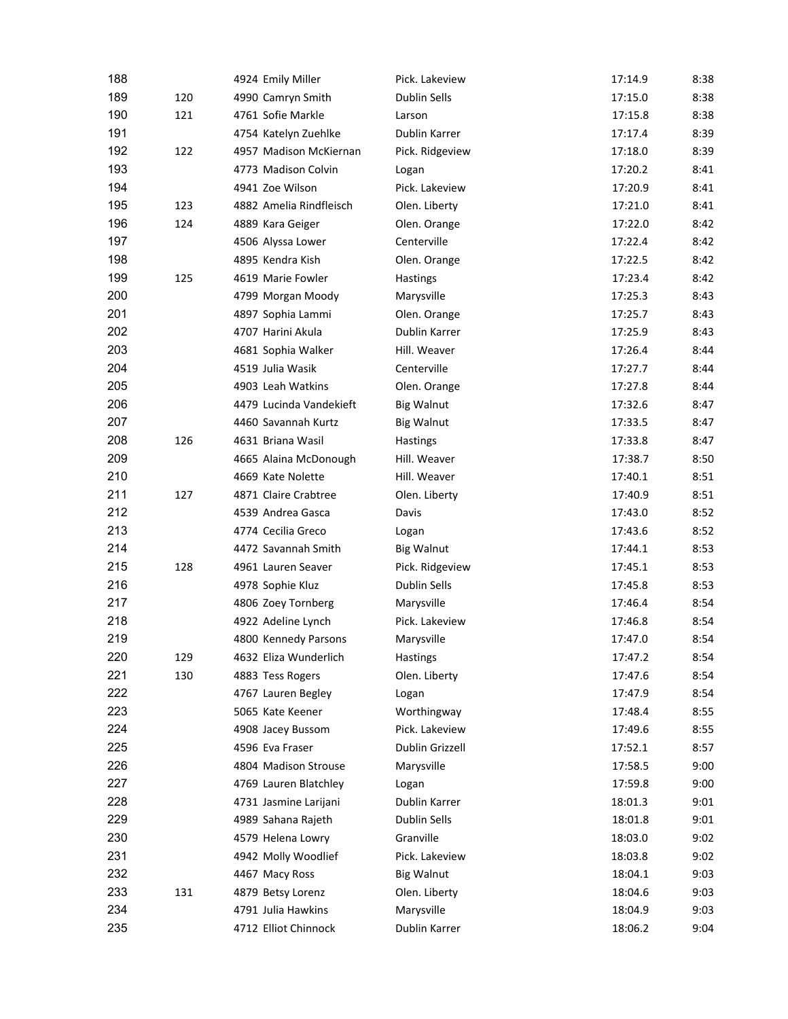| 188 |     | 4924 Emily Miller       | Pick. Lakeview      | 17:14.9 | 8:38 |
|-----|-----|-------------------------|---------------------|---------|------|
| 189 | 120 | 4990 Camryn Smith       | <b>Dublin Sells</b> | 17:15.0 | 8:38 |
| 190 | 121 | 4761 Sofie Markle       | Larson              | 17:15.8 | 8:38 |
| 191 |     | 4754 Katelyn Zuehlke    | Dublin Karrer       | 17:17.4 | 8:39 |
| 192 | 122 | 4957 Madison McKiernan  | Pick. Ridgeview     | 17:18.0 | 8:39 |
| 193 |     | 4773 Madison Colvin     | Logan               | 17:20.2 | 8:41 |
| 194 |     | 4941 Zoe Wilson         | Pick. Lakeview      | 17:20.9 | 8:41 |
| 195 | 123 | 4882 Amelia Rindfleisch | Olen. Liberty       | 17:21.0 | 8:41 |
| 196 | 124 | 4889 Kara Geiger        | Olen. Orange        | 17:22.0 | 8:42 |
| 197 |     | 4506 Alyssa Lower       | Centerville         | 17:22.4 | 8:42 |
| 198 |     | 4895 Kendra Kish        | Olen. Orange        | 17:22.5 | 8:42 |
| 199 | 125 | 4619 Marie Fowler       | Hastings            | 17:23.4 | 8:42 |
| 200 |     | 4799 Morgan Moody       | Marysville          | 17:25.3 | 8:43 |
| 201 |     | 4897 Sophia Lammi       | Olen. Orange        | 17:25.7 | 8:43 |
| 202 |     | 4707 Harini Akula       | Dublin Karrer       | 17:25.9 | 8:43 |
| 203 |     | 4681 Sophia Walker      | Hill. Weaver        | 17:26.4 | 8:44 |
| 204 |     | 4519 Julia Wasik        | Centerville         | 17:27.7 | 8:44 |
| 205 |     | 4903 Leah Watkins       | Olen. Orange        | 17:27.8 | 8:44 |
| 206 |     | 4479 Lucinda Vandekieft | <b>Big Walnut</b>   | 17:32.6 | 8:47 |
| 207 |     | 4460 Savannah Kurtz     | <b>Big Walnut</b>   | 17:33.5 | 8:47 |
| 208 | 126 | 4631 Briana Wasil       | <b>Hastings</b>     | 17:33.8 | 8:47 |
| 209 |     | 4665 Alaina McDonough   | Hill. Weaver        | 17:38.7 | 8:50 |
| 210 |     | 4669 Kate Nolette       | Hill. Weaver        | 17:40.1 | 8:51 |
| 211 | 127 | 4871 Claire Crabtree    | Olen. Liberty       | 17:40.9 | 8:51 |
| 212 |     | 4539 Andrea Gasca       | Davis               | 17:43.0 | 8:52 |
| 213 |     | 4774 Cecilia Greco      | Logan               | 17:43.6 | 8:52 |
| 214 |     | 4472 Savannah Smith     | <b>Big Walnut</b>   | 17:44.1 | 8:53 |
| 215 | 128 | 4961 Lauren Seaver      | Pick. Ridgeview     | 17:45.1 | 8:53 |
| 216 |     | 4978 Sophie Kluz        | Dublin Sells        | 17:45.8 | 8:53 |
| 217 |     | 4806 Zoey Tornberg      | Marysville          | 17:46.4 | 8:54 |
| 218 |     | 4922 Adeline Lynch      | Pick. Lakeview      | 17:46.8 | 8:54 |
| 219 |     | 4800 Kennedy Parsons    | Marysville          | 17:47.0 | 8:54 |
| 220 | 129 | 4632 Eliza Wunderlich   | Hastings            | 17:47.2 | 8:54 |
| 221 | 130 | 4883 Tess Rogers        | Olen. Liberty       | 17:47.6 | 8:54 |
| 222 |     | 4767 Lauren Begley      | Logan               | 17:47.9 | 8:54 |
| 223 |     | 5065 Kate Keener        | Worthingway         | 17:48.4 | 8:55 |
| 224 |     | 4908 Jacey Bussom       | Pick. Lakeview      | 17:49.6 | 8:55 |
| 225 |     | 4596 Eva Fraser         | Dublin Grizzell     | 17:52.1 | 8:57 |
| 226 |     | 4804 Madison Strouse    | Marysville          | 17:58.5 | 9:00 |
| 227 |     | 4769 Lauren Blatchley   | Logan               | 17:59.8 | 9:00 |
| 228 |     | 4731 Jasmine Larijani   | Dublin Karrer       | 18:01.3 | 9:01 |
| 229 |     | 4989 Sahana Rajeth      | Dublin Sells        | 18:01.8 | 9:01 |
| 230 |     | 4579 Helena Lowry       | Granville           | 18:03.0 | 9:02 |
| 231 |     | 4942 Molly Woodlief     | Pick. Lakeview      | 18:03.8 | 9:02 |
| 232 |     | 4467 Macy Ross          | <b>Big Walnut</b>   | 18:04.1 | 9:03 |
| 233 | 131 | 4879 Betsy Lorenz       | Olen. Liberty       | 18:04.6 | 9:03 |
| 234 |     | 4791 Julia Hawkins      | Marysville          | 18:04.9 | 9:03 |
| 235 |     | 4712 Elliot Chinnock    | Dublin Karrer       | 18:06.2 | 9:04 |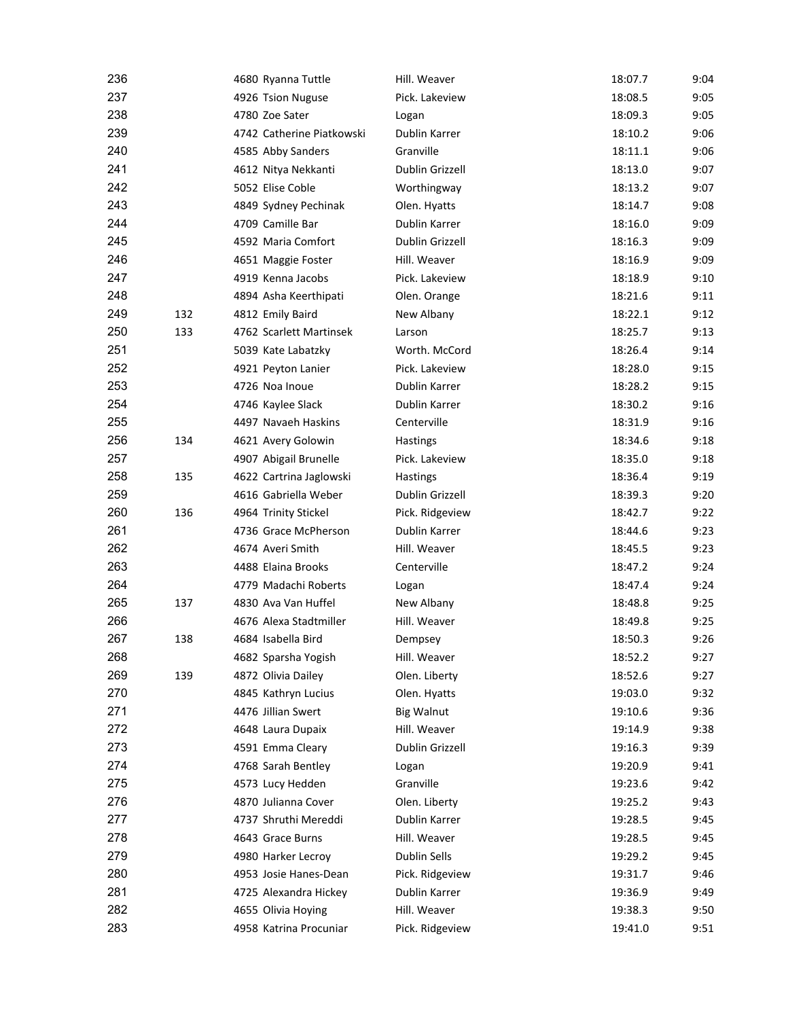| 236 |     | 4680 Ryanna Tuttle        | Hill. Weaver                    | 18:07.7 | 9:04 |
|-----|-----|---------------------------|---------------------------------|---------|------|
| 237 |     | 4926 Tsion Nuguse         | Pick. Lakeview                  | 18:08.5 | 9:05 |
| 238 |     | 4780 Zoe Sater            | Logan                           | 18:09.3 | 9:05 |
| 239 |     | 4742 Catherine Piatkowski | Dublin Karrer                   | 18:10.2 | 9:06 |
| 240 |     | 4585 Abby Sanders         | Granville                       | 18:11.1 | 9:06 |
| 241 |     | 4612 Nitya Nekkanti       | Dublin Grizzell                 | 18:13.0 | 9:07 |
| 242 |     | 5052 Elise Coble          | Worthingway                     | 18:13.2 | 9:07 |
| 243 |     | 4849 Sydney Pechinak      | Olen. Hyatts                    | 18:14.7 | 9:08 |
| 244 |     | 4709 Camille Bar          | Dublin Karrer                   | 18:16.0 | 9:09 |
| 245 |     | 4592 Maria Comfort        | Dublin Grizzell                 | 18:16.3 | 9:09 |
| 246 |     | 4651 Maggie Foster        | Hill. Weaver                    | 18:16.9 | 9:09 |
| 247 |     | 4919 Kenna Jacobs         | Pick. Lakeview                  | 18:18.9 | 9:10 |
| 248 |     | 4894 Asha Keerthipati     | Olen. Orange                    | 18:21.6 | 9:11 |
| 249 | 132 | 4812 Emily Baird          | New Albany                      | 18:22.1 | 9:12 |
| 250 | 133 | 4762 Scarlett Martinsek   | Larson                          | 18:25.7 | 9:13 |
| 251 |     | 5039 Kate Labatzky        | Worth. McCord                   | 18:26.4 | 9:14 |
| 252 |     | 4921 Peyton Lanier        | Pick. Lakeview                  | 18:28.0 | 9:15 |
| 253 |     | 4726 Noa Inoue            | Dublin Karrer                   | 18:28.2 | 9:15 |
| 254 |     | 4746 Kaylee Slack         | Dublin Karrer                   | 18:30.2 | 9:16 |
| 255 |     | 4497 Navaeh Haskins       | Centerville                     | 18:31.9 | 9:16 |
| 256 | 134 | 4621 Avery Golowin        | Hastings                        | 18:34.6 | 9:18 |
| 257 |     | 4907 Abigail Brunelle     | Pick. Lakeview                  | 18:35.0 | 9:18 |
| 258 | 135 | 4622 Cartrina Jaglowski   | <b>Hastings</b>                 | 18:36.4 | 9:19 |
| 259 |     | 4616 Gabriella Weber      | Dublin Grizzell                 | 18:39.3 | 9:20 |
| 260 | 136 | 4964 Trinity Stickel      | Pick. Ridgeview                 | 18:42.7 | 9:22 |
| 261 |     | 4736 Grace McPherson      | Dublin Karrer                   | 18:44.6 | 9:23 |
| 262 |     | 4674 Averi Smith          | Hill. Weaver                    | 18:45.5 | 9:23 |
| 263 |     | 4488 Elaina Brooks        | Centerville                     | 18:47.2 | 9:24 |
| 264 |     | 4779 Madachi Roberts      | Logan                           | 18:47.4 | 9:24 |
| 265 | 137 | 4830 Ava Van Huffel       | New Albany                      | 18:48.8 | 9:25 |
| 266 |     | 4676 Alexa Stadtmiller    | Hill. Weaver                    | 18:49.8 | 9:25 |
| 267 | 138 | 4684 Isabella Bird        | Dempsey                         | 18:50.3 | 9:26 |
| 268 |     | 4682 Sparsha Yogish       | Hill. Weaver                    | 18:52.2 | 9:27 |
| 269 | 139 | 4872 Olivia Dailey        | Olen. Liberty                   | 18:52.6 | 9:27 |
| 270 |     |                           |                                 |         |      |
| 271 |     | 4845 Kathryn Lucius       | Olen. Hyatts                    | 19:03.0 | 9:32 |
| 272 |     | 4476 Jillian Swert        | <b>Big Walnut</b>               | 19:10.6 | 9:36 |
|     |     | 4648 Laura Dupaix         | Hill. Weaver<br>Dublin Grizzell | 19:14.9 | 9:38 |
| 273 |     | 4591 Emma Cleary          |                                 | 19:16.3 | 9:39 |
| 274 |     | 4768 Sarah Bentley        | Logan                           | 19:20.9 | 9:41 |
| 275 |     | 4573 Lucy Hedden          | Granville                       | 19:23.6 | 9:42 |
| 276 |     | 4870 Julianna Cover       | Olen. Liberty                   | 19:25.2 | 9:43 |
| 277 |     | 4737 Shruthi Mereddi      | Dublin Karrer                   | 19:28.5 | 9:45 |
| 278 |     | 4643 Grace Burns          | Hill. Weaver                    | 19:28.5 | 9:45 |
| 279 |     | 4980 Harker Lecroy        | Dublin Sells                    | 19:29.2 | 9:45 |
| 280 |     | 4953 Josie Hanes-Dean     | Pick. Ridgeview                 | 19:31.7 | 9:46 |
| 281 |     | 4725 Alexandra Hickey     | Dublin Karrer                   | 19:36.9 | 9:49 |
| 282 |     | 4655 Olivia Hoying        | Hill. Weaver                    | 19:38.3 | 9:50 |
| 283 |     | 4958 Katrina Procuniar    | Pick. Ridgeview                 | 19:41.0 | 9:51 |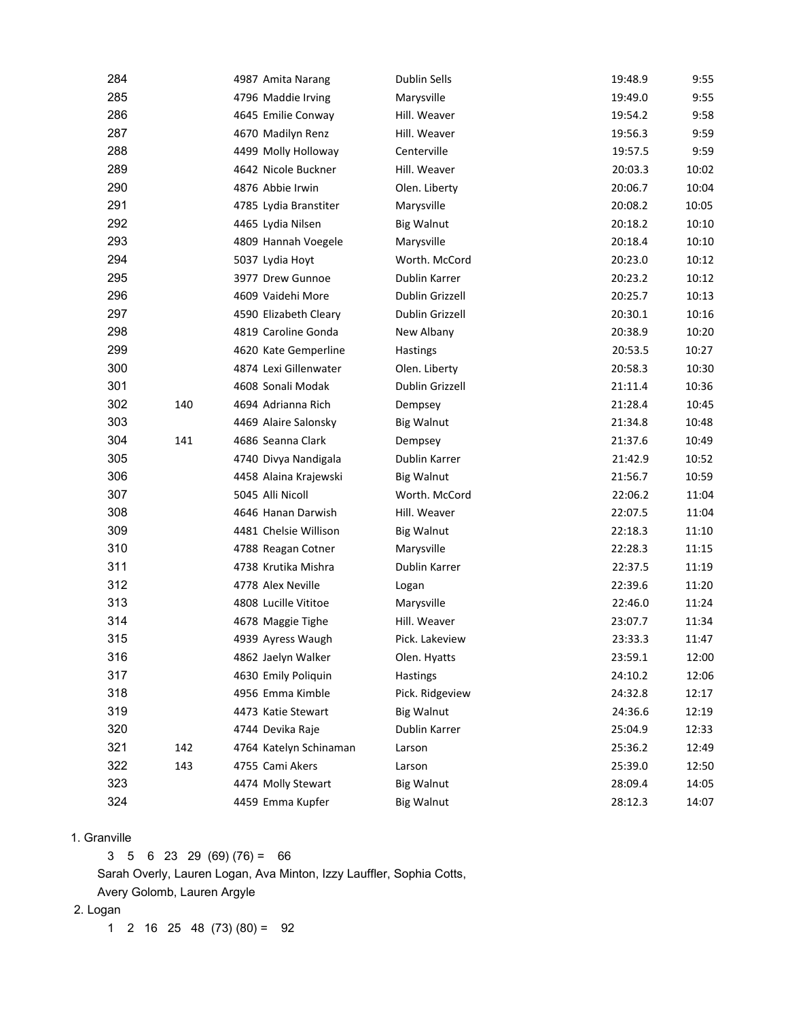| 284 |     | 4987 Amita Narang      | <b>Dublin Sells</b> | 19:48.9 | 9:55  |
|-----|-----|------------------------|---------------------|---------|-------|
| 285 |     | 4796 Maddie Irving     | Marysville          | 19:49.0 | 9:55  |
| 286 |     | 4645 Emilie Conway     | Hill. Weaver        | 19:54.2 | 9:58  |
| 287 |     | 4670 Madilyn Renz      | Hill. Weaver        | 19:56.3 | 9:59  |
| 288 |     | 4499 Molly Holloway    | Centerville         | 19:57.5 | 9:59  |
| 289 |     | 4642 Nicole Buckner    | Hill. Weaver        | 20:03.3 | 10:02 |
| 290 |     | 4876 Abbie Irwin       | Olen. Liberty       | 20:06.7 | 10:04 |
| 291 |     | 4785 Lydia Branstiter  | Marysville          | 20:08.2 | 10:05 |
| 292 |     | 4465 Lydia Nilsen      | <b>Big Walnut</b>   | 20:18.2 | 10:10 |
| 293 |     | 4809 Hannah Voegele    | Marysville          | 20:18.4 | 10:10 |
| 294 |     | 5037 Lydia Hoyt        | Worth. McCord       | 20:23.0 | 10:12 |
| 295 |     | 3977 Drew Gunnoe       | Dublin Karrer       | 20:23.2 | 10:12 |
| 296 |     | 4609 Vaidehi More      | Dublin Grizzell     | 20:25.7 | 10:13 |
| 297 |     | 4590 Elizabeth Cleary  | Dublin Grizzell     | 20:30.1 | 10:16 |
| 298 |     | 4819 Caroline Gonda    | New Albany          | 20:38.9 | 10:20 |
| 299 |     | 4620 Kate Gemperline   | Hastings            | 20:53.5 | 10:27 |
| 300 |     | 4874 Lexi Gillenwater  | Olen. Liberty       | 20:58.3 | 10:30 |
| 301 |     | 4608 Sonali Modak      | Dublin Grizzell     | 21:11.4 | 10:36 |
| 302 | 140 | 4694 Adrianna Rich     | Dempsey             | 21:28.4 | 10:45 |
| 303 |     | 4469 Alaire Salonsky   | <b>Big Walnut</b>   | 21:34.8 | 10:48 |
| 304 | 141 | 4686 Seanna Clark      | Dempsey             | 21:37.6 | 10:49 |
| 305 |     | 4740 Divya Nandigala   | Dublin Karrer       | 21:42.9 | 10:52 |
| 306 |     | 4458 Alaina Krajewski  | <b>Big Walnut</b>   | 21:56.7 | 10:59 |
| 307 |     | 5045 Alli Nicoll       | Worth. McCord       | 22:06.2 | 11:04 |
| 308 |     | 4646 Hanan Darwish     | Hill. Weaver        | 22:07.5 | 11:04 |
| 309 |     | 4481 Chelsie Willison  | <b>Big Walnut</b>   | 22:18.3 | 11:10 |
| 310 |     | 4788 Reagan Cotner     | Marysville          | 22:28.3 | 11:15 |
| 311 |     | 4738 Krutika Mishra    | Dublin Karrer       | 22:37.5 | 11:19 |
| 312 |     | 4778 Alex Neville      | Logan               | 22:39.6 | 11:20 |
| 313 |     | 4808 Lucille Vititoe   | Marysville          | 22:46.0 | 11:24 |
| 314 |     | 4678 Maggie Tighe      | Hill. Weaver        | 23:07.7 | 11:34 |
| 315 |     | 4939 Ayress Waugh      | Pick. Lakeview      | 23:33.3 | 11:47 |
| 316 |     | 4862 Jaelyn Walker     | Olen. Hyatts        | 23:59.1 | 12:00 |
| 317 |     | 4630 Emily Poliquin    | Hastings            | 24:10.2 | 12:06 |
| 318 |     | 4956 Emma Kimble       | Pick. Ridgeview     | 24:32.8 | 12:17 |
| 319 |     | 4473 Katie Stewart     | <b>Big Walnut</b>   | 24:36.6 | 12:19 |
| 320 |     | 4744 Devika Raje       | Dublin Karrer       | 25:04.9 | 12:33 |
| 321 | 142 | 4764 Katelyn Schinaman | Larson              | 25:36.2 | 12:49 |
| 322 | 143 | 4755 Cami Akers        | Larson              | 25:39.0 | 12:50 |
| 323 |     | 4474 Molly Stewart     | <b>Big Walnut</b>   | 28:09.4 | 14:05 |
| 324 |     | 4459 Emma Kupfer       | <b>Big Walnut</b>   | 28:12.3 | 14:07 |

## 1. Granville

 $3 \quad 5 \quad 6 \quad 23 \quad 29 \quad (69) \quad (76) = \quad 66$ 

Sarah Overly, Lauren Logan, Ava Minton, Izzy Lauffler, Sophia Cotts,

Avery Golomb, Lauren Argyle

## 2. Logan

1 2 16 25 48  $(73)(80) = 92$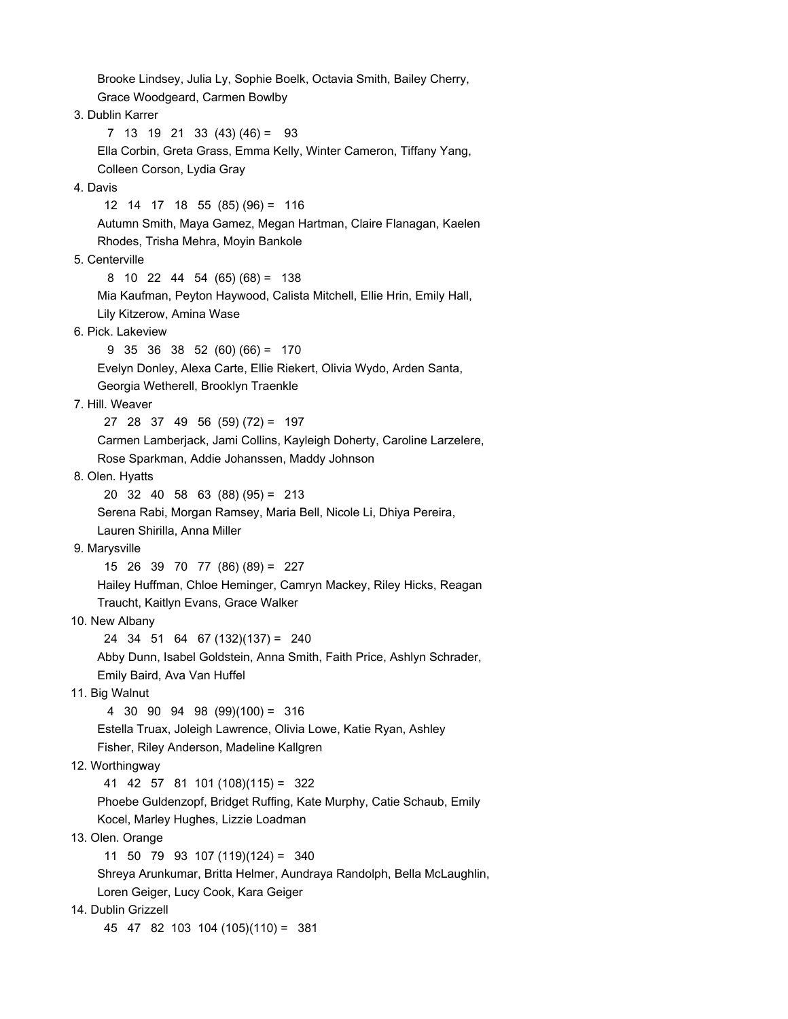Brooke Lindsey, Julia Ly, Sophie Boelk, Octavia Smith, Bailey Cherry, Grace Woodgeard, Carmen Bowlby 3. Dublin Karrer 7 13 19 21 33 (43) (46) = 93 Ella Corbin, Greta Grass, Emma Kelly, Winter Cameron, Tiffany Yang, Colleen Corson, Lydia Gray 4. Davis 12 14 17 18 55 (85) (96) = 116 Autumn Smith, Maya Gamez, Megan Hartman, Claire Flanagan, Kaelen Rhodes, Trisha Mehra, Moyin Bankole 5. Centerville 8 10 22 44 54 (65) (68) = 138 Mia Kaufman, Peyton Haywood, Calista Mitchell, Ellie Hrin, Emily Hall, Lily Kitzerow, Amina Wase 6. Pick. Lakeview 9 35 36 38 52 (60) (66) = 170 Evelyn Donley, Alexa Carte, Ellie Riekert, Olivia Wydo, Arden Santa, Georgia Wetherell, Brooklyn Traenkle 7. Hill. Weaver 27 28 37 49 56 (59) (72) = 197 Carmen Lamberjack, Jami Collins, Kayleigh Doherty, Caroline Larzelere, Rose Sparkman, Addie Johanssen, Maddy Johnson 8. Olen. Hyatts 20 32 40 58 63 (88) (95) = 213 Serena Rabi, Morgan Ramsey, Maria Bell, Nicole Li, Dhiya Pereira, Lauren Shirilla, Anna Miller 9. Marysville 15 26 39 70 77 (86) (89) = 227 Hailey Huffman, Chloe Heminger, Camryn Mackey, Riley Hicks, Reagan Traucht, Kaitlyn Evans, Grace Walker 10. New Albany 24 34 51 64 67 (132)(137) = 240 Abby Dunn, Isabel Goldstein, Anna Smith, Faith Price, Ashlyn Schrader, Emily Baird, Ava Van Huffel 11. Big Walnut 4 30 90 94 98 (99)(100) = 316 Estella Truax, Joleigh Lawrence, Olivia Lowe, Katie Ryan, Ashley Fisher, Riley Anderson, Madeline Kallgren 12. Worthingway 41 42 57 81 101 (108)(115) = 322 Phoebe Guldenzopf, Bridget Ruffing, Kate Murphy, Catie Schaub, Emily Kocel, Marley Hughes, Lizzie Loadman 13. Olen. Orange 11 50 79 93 107 (119)(124) = 340 Shreya Arunkumar, Britta Helmer, Aundraya Randolph, Bella McLaughlin, Loren Geiger, Lucy Cook, Kara Geiger 14. Dublin Grizzell 45 47 82 103 104 (105)(110) = 381